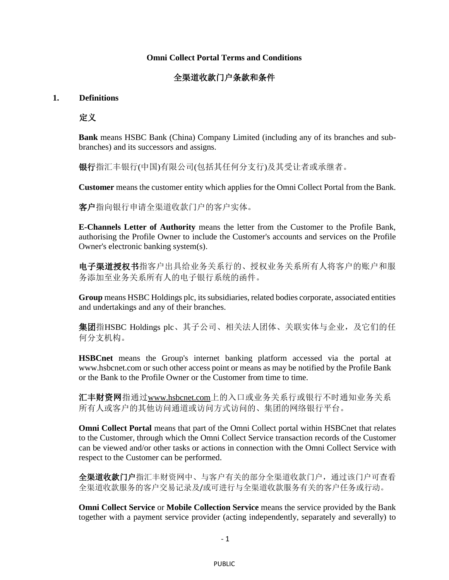## **Omni Collect Portal Terms and Conditions**

## 全渠道收款门户条款和条件

## **1. Definitions**

定义

**Bank** means HSBC Bank (China) Company Limited (including any of its branches and subbranches) and its successors and assigns.

银行指汇丰银行(中国)有限公司(包括其任何分支行)及其受让者或承继者。

**Customer** means the customer entity which applies for the Omni Collect Portal from the Bank.

客户指向银行申请全渠道收款门户的客户实体。

**E-Channels Letter of Authority** means the letter from the Customer to the Profile Bank, authorising the Profile Owner to include the Customer's accounts and services on the Profile Owner's electronic banking system(s).

电子渠道授权书指客户出具给业务关系行的、授权业务关系所有人将客户的账户和服 务添加至业务关系所有人的电子银行系统的函件。

**Group** means HSBC Holdings plc, its subsidiaries, related bodies corporate, associated entities and undertakings and any of their branches.

集团指HSBC Holdings plc、其子公司、相关法人团体、关联实体与企业,及它们的任 何分支机构。

**HSBCnet** means the Group's internet banking platform accessed [via the portal at](http://www.hsbcnet.com/)  [www.hsbcnet.com](http://www.hsbcnet.com/) or such other access point or means as may be notified by the Profile Bank or the Bank to the Profile Owner or the Customer from time to time.

汇丰财资网指通过[www.hsbcnet.com](http://www.hsbcnet.com/)上的入口或业务关系行或银行不时通知业务关系 所有人或客户的其他访问通道或访问方式访问的、集团的网络银行平台。

**Omni Collect Portal** means that part of the Omni Collect portal within HSBCnet that relates to the Customer, through which the Omni Collect Service transaction records of the Customer can be viewed and/or other tasks or actions in connection with the Omni Collect Service with respect to the Customer can be performed.

全渠道收款门户指汇丰财资网中、与客户有关的部分全渠道收款门户,通过该门户可查看 全渠道收款服务的客户交易记录及/或可进行与全渠道收款服务有关的客户任务或行动。

**Omni Collect Service** or **Mobile Collection Service** means the service provided by the Bank together with a payment service provider (acting independently, separately and severally) to

- 1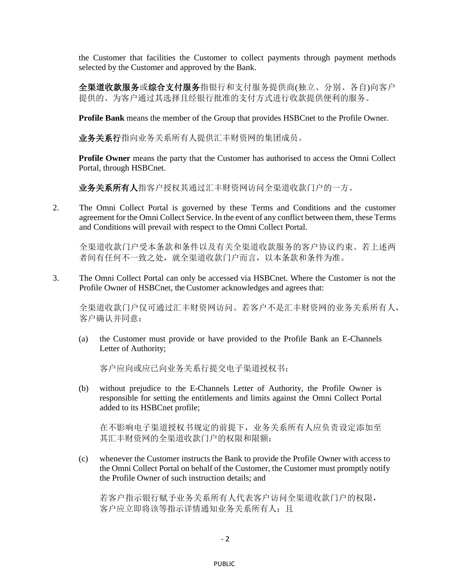the Customer that facilities the Customer to collect payments through payment methods selected by the Customer and approved by the Bank.

全渠道收款服务或综合支付服务指银行和支付服务提供商(独立、分别、各自)向客户 提供的、为客户通过其选择且经银行批准的支付方式进行收款提供便利的服务。

**Profile Bank** means the member of the Group that provides HSBCnet to the Profile Owner.

业务关系行指向业务关系所有人提供汇丰财资网的集团成员。

**Profile Owner** means the party that the Customer has authorised to access the Omni Collect Portal, through HSBCnet.

业务关系所有人指客户授权其通过汇丰财资网访问全渠道收款门户的一方。

2. The Omni Collect Portal is governed by these Terms and Conditions and the customer agreement for the Omni Collect Service. In the event of any conflict between them, these Terms and Conditions will prevail with respect to the Omni Collect Portal.

全渠道收款门户受本条款和条件以及有关全渠道收款服务的客户协议约束。若上述两 者间有任何不一致之处,就全渠道收款门户而言,以本条款和条件为准。

3. The Omni Collect Portal can only be accessed via HSBCnet. Where the Customer is not the Profile Owner of HSBCnet, the Customer acknowledges and agrees that:

全渠道收款门户仅可通过汇丰财资网访问。若客户不是汇丰财资网的业务关系所有人, 客户确认并同意:

(a) the Customer must provide or have provided to the Profile Bank an E-Channels Letter of Authority;

客户应向或应已向业务关系行提交电子渠道授权书;

(b) without prejudice to the E-Channels Letter of Authority, the Profile Owner is responsible for setting the entitlements and limits against the Omni Collect Portal added to its HSBCnet profile;

在不影响电子渠道授权书规定的前提下,业务关系所有人应负责设定添加至 其汇丰财资网的全渠道收款门户的权限和限额;

(c) whenever the Customer instructs the Bank to provide the Profile Owner with access to the Omni Collect Portal on behalf of the Customer, the Customer must promptly notify the Profile Owner of such instruction details; and

若客户指示银行赋予业务关系所有人代表客户访问全渠道收款门户的权限, 客户应立即将该等指示详情通知业务关系所有人;且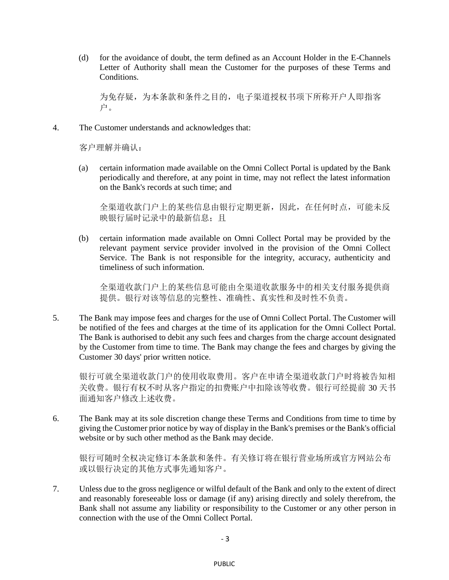(d) for the avoidance of doubt, the term defined as an Account Holder in the E-Channels Letter of Authority shall mean the Customer for the purposes of these Terms and Conditions.

为免存疑,为本条款和条件之目的,电子渠道授权书项下所称开户人即指客 户。

4. The Customer understands and acknowledges that:

客户理解并确认:

(a) certain information made available on the Omni Collect Portal is updated by the Bank periodically and therefore, at any point in time, may not reflect the latest information on the Bank's records at such time; and

全渠道收款门户上的某些信息由银行定期更新,因此,在任何时点,可能未反 映银行届时记录中的最新信息;且

(b) certain information made available on Omni Collect Portal may be provided by the relevant payment service provider involved in the provision of the Omni Collect Service. The Bank is not responsible for the integrity, accuracy, authenticity and timeliness of such information.

全渠道收款门户上的某些信息可能由全渠道收款服务中的相关支付服务提供商 提供。银行对该等信息的完整性、准确性、真实性和及时性不负责。

5. The Bank may impose fees and charges for the use of Omni Collect Portal. The Customer will be notified of the fees and charges at the time of its application for the Omni Collect Portal. The Bank is authorised to debit any such fees and charges from the charge account designated by the Customer from time to time. The Bank may change the fees and charges by giving the Customer 30 days' prior written notice.

银行可就全渠道收款门户的使用收取费用。客户在申请全渠道收款门户时将被告知相 关收费。银行有权不时从客户指定的扣费账户中扣除该等收费。银行可经提前 30 天书 面通知客户修改上述收费。

6. The Bank may at its sole discretion change these Terms and Conditions from time to time by giving the Customer prior notice by way of display in the Bank's premises or the Bank's official website or by such other method as the Bank may decide.

银行可随时全权决定修订本条款和条件。有关修订将在银行营业场所或官方网站公布 或以银行决定的其他方式事先通知客户。

7. Unless due to the gross negligence or wilful default of the Bank and only to the extent of direct and reasonably foreseeable loss or damage (if any) arising directly and solely therefrom, the Bank shall not assume any liability or responsibility to the Customer or any other person in connection with the use of the Omni Collect Portal.

- 3